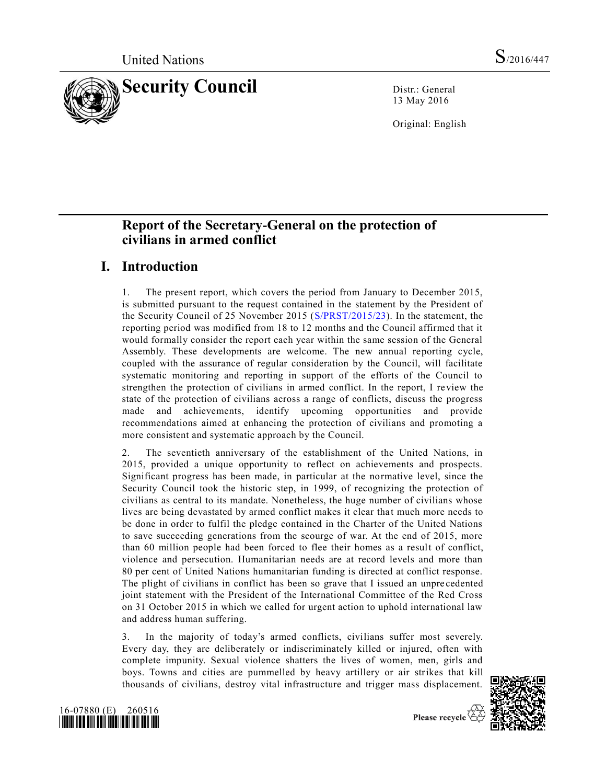

13 May 2016

Original: English

# **Report of the Secretary-General on the protection of civilians in armed conflict**

## **I. Introduction**

1. The present report, which covers the period from January to December 2015, is submitted pursuant to the request contained in the statement by the President of the Security Council of 25 November 2015 [\(S/PRST/2015/23\)](http://undocs.org/S/PRST/2015/23). In the statement, the reporting period was modified from 18 to 12 months and the Council affirmed that it would formally consider the report each year within the same session of the General Assembly. These developments are welcome. The new annual reporting cycle, coupled with the assurance of regular consideration by the Council, will facilitate systematic monitoring and reporting in support of the efforts of the Council to strengthen the protection of civilians in armed conflict. In the report, I review the state of the protection of civilians across a range of conflicts, discuss the progress made and achievements, identify upcoming opportunities and provide recommendations aimed at enhancing the protection of civilians and promoting a more consistent and systematic approach by the Council.

2. The seventieth anniversary of the establishment of the United Nations, in 2015, provided a unique opportunity to reflect on achievements and prospects. Significant progress has been made, in particular at the normative level, since the Security Council took the historic step, in 1999, of recognizing the protection of civilians as central to its mandate. Nonetheless, the huge number of civilians whose lives are being devastated by armed conflict makes it clear that much more needs to be done in order to fulfil the pledge contained in the Charter of the United Nations to save succeeding generations from the scourge of war. At the end of 2015, more than 60 million people had been forced to flee their homes as a result of conflict, violence and persecution. Humanitarian needs are at record levels and more than 80 per cent of United Nations humanitarian funding is directed at conflict response. The plight of civilians in conflict has been so grave that I issued an unpre cedented joint statement with the President of the International Committee of the Red Cross on 31 October 2015 in which we called for urgent action to uphold international law and address human suffering.

3. In the majority of today's armed conflicts, civilians suffer most severely. Every day, they are deliberately or indiscriminately killed or injured, often with complete impunity. Sexual violence shatters the lives of women, men, girls and boys. Towns and cities are pummelled by heavy artillery or air strikes that kill thousands of civilians, destroy vital infrastructure and trigger mass displacement.



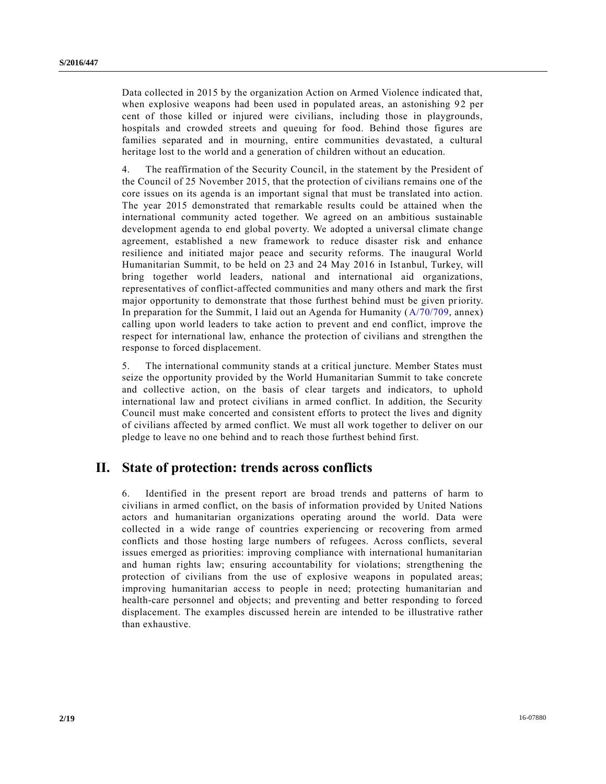Data collected in 2015 by the organization Action on Armed Violence indicated that, when explosive weapons had been used in populated areas, an astonishing 92 per cent of those killed or injured were civilians, including those in playgrounds, hospitals and crowded streets and queuing for food. Behind those figures are families separated and in mourning, entire communities devastated, a cultural heritage lost to the world and a generation of children without an education.

4. The reaffirmation of the Security Council, in the statement by the President of the Council of 25 November 2015, that the protection of civilians remains one of the core issues on its agenda is an important signal that must be translated into action. The year 2015 demonstrated that remarkable results could be attained when the international community acted together. We agreed on an ambitious sustainable development agenda to end global poverty. We adopted a universal climate change agreement, established a new framework to reduce disaster risk and enhance resilience and initiated major peace and security reforms. The inaugural World Humanitarian Summit, to be held on 23 and 24 May 2016 in Istanbul, Turkey, will bring together world leaders, national and international aid organizations, representatives of conflict-affected communities and many others and mark the first major opportunity to demonstrate that those furthest behind must be given priority. In preparation for the Summit, I laid out an Agenda for Humanity [\(A/70/709,](http://undocs.org/A/70/709) annex) calling upon world leaders to take action to prevent and end conflict, improve the respect for international law, enhance the protection of civilians and strengthen the response to forced displacement.

5. The international community stands at a critical juncture. Member States must seize the opportunity provided by the World Humanitarian Summit to take concrete and collective action, on the basis of clear targets and indicators, to uphold international law and protect civilians in armed conflict. In addition, the Security Council must make concerted and consistent efforts to protect the lives and dignity of civilians affected by armed conflict. We must all work together to deliver on our pledge to leave no one behind and to reach those furthest behind first.

## **II. State of protection: trends across conflicts**

6. Identified in the present report are broad trends and patterns of harm to civilians in armed conflict, on the basis of information provided by United Nations actors and humanitarian organizations operating around the world. Data were collected in a wide range of countries experiencing or recovering from armed conflicts and those hosting large numbers of refugees. Across conflicts, several issues emerged as priorities: improving compliance with international humanitarian and human rights law; ensuring accountability for violations; strengthening the protection of civilians from the use of explosive weapons in populated areas; improving humanitarian access to people in need; protecting humanitarian and health-care personnel and objects; and preventing and better responding to forced displacement. The examples discussed herein are intended to be illustrative rather than exhaustive.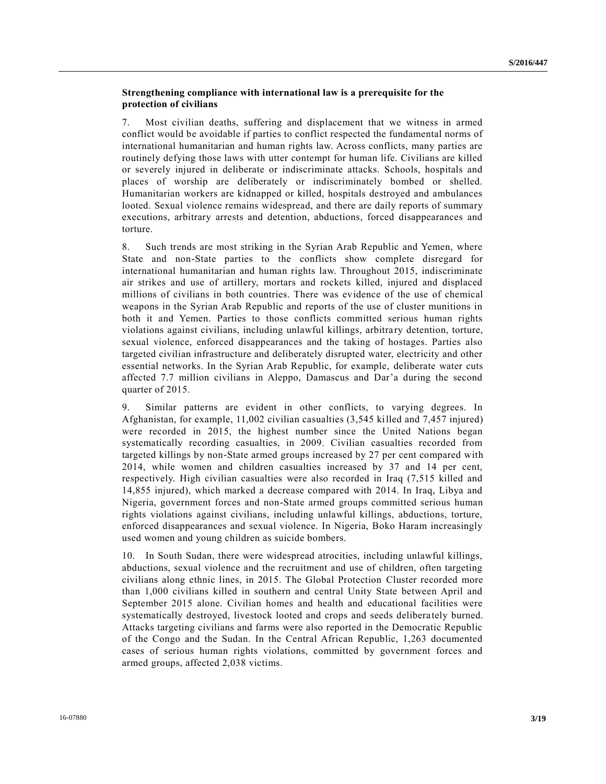## **Strengthening compliance with international law is a prerequisite for the protection of civilians**

7. Most civilian deaths, suffering and displacement that we witness in armed conflict would be avoidable if parties to conflict respected the fundamental norms of international humanitarian and human rights law. Across conflicts, many parties are routinely defying those laws with utter contempt for human life. Civilians are killed or severely injured in deliberate or indiscriminate attacks. Schools, hospitals and places of worship are deliberately or indiscriminately bombed or shelled. Humanitarian workers are kidnapped or killed, hospitals destroyed and ambulances looted. Sexual violence remains widespread, and there are daily reports of summary executions, arbitrary arrests and detention, abductions, forced disappearances and torture.

8. Such trends are most striking in the Syrian Arab Republic and Yemen, where State and non-State parties to the conflicts show complete disregard for international humanitarian and human rights law. Throughout 2015, indiscriminate air strikes and use of artillery, mortars and rockets killed, injured and displaced millions of civilians in both countries. There was evidence of the use of chemical weapons in the Syrian Arab Republic and reports of the use of cluster munitions in both it and Yemen. Parties to those conflicts committed serious human rights violations against civilians, including unlawful killings, arbitrary detention, torture, sexual violence, enforced disappearances and the taking of hostages. Parties also targeted civilian infrastructure and deliberately disrupted water, electricity and other essential networks. In the Syrian Arab Republic, for example, deliberate water cuts affected 7.7 million civilians in Aleppo, Damascus and Dar'a during the second quarter of 2015.

9. Similar patterns are evident in other conflicts, to varying degrees. In Afghanistan, for example, 11,002 civilian casualties (3,545 killed and 7,457 injured) were recorded in 2015, the highest number since the United Nations began systematically recording casualties, in 2009. Civilian casualties recorded from targeted killings by non-State armed groups increased by 27 per cent compared with 2014, while women and children casualties increased by 37 and 14 per cent, respectively. High civilian casualties were also recorded in Iraq (7,515 killed and 14,855 injured), which marked a decrease compared with 2014. In Iraq, Libya and Nigeria, government forces and non-State armed groups committed serious human rights violations against civilians, including unlawful killings, abductions, torture, enforced disappearances and sexual violence. In Nigeria, Boko Haram increasingly used women and young children as suicide bombers.

10. In South Sudan, there were widespread atrocities, including unlawful killings, abductions, sexual violence and the recruitment and use of children, often targeting civilians along ethnic lines, in 2015. The Global Protection Cluster recorded more than 1,000 civilians killed in southern and central Unity State between April and September 2015 alone. Civilian homes and health and educational facilities were systematically destroyed, livestock looted and crops and seeds delibera tely burned. Attacks targeting civilians and farms were also reported in the Democratic Republic of the Congo and the Sudan. In the Central African Republic, 1,263 documented cases of serious human rights violations, committed by government forces and armed groups, affected 2,038 victims.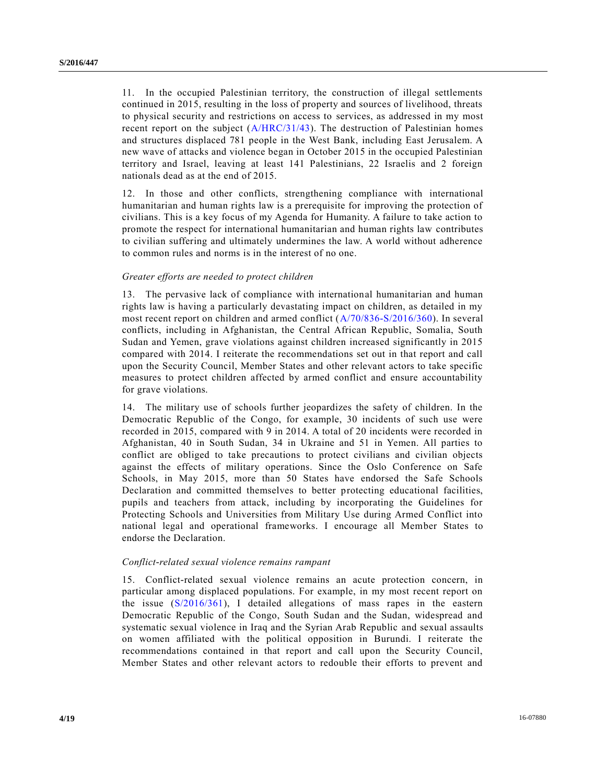11. In the occupied Palestinian territory, the construction of illegal settlements continued in 2015, resulting in the loss of property and sources of livelihood, threats to physical security and restrictions on access to services, as addressed in my most recent report on the subject [\(A/HRC/31/43\)](http://undocs.org/A/HRC/31/43). The destruction of Palestinian homes and structures displaced 781 people in the West Bank, including East Jerusalem. A new wave of attacks and violence began in October 2015 in the occupied Palestinian territory and Israel, leaving at least 141 Palestinians, 22 Israelis and 2 foreign nationals dead as at the end of 2015.

12. In those and other conflicts, strengthening compliance with international humanitarian and human rights law is a prerequisite for improving the protection of civilians. This is a key focus of my Agenda for Humanity. A failure to take action to promote the respect for international humanitarian and human rights law contributes to civilian suffering and ultimately undermines the law. A world without adherence to common rules and norms is in the interest of no one.

### *Greater efforts are needed to protect children*

13. The pervasive lack of compliance with international humanitarian and human rights law is having a particularly devastating impact on children, as detailed in my most recent report on children and armed conflict [\(A/70/836-S/2016/360\)](http://undocs.org/A/70/836). In several conflicts, including in Afghanistan, the Central African Republic, Somalia, South Sudan and Yemen, grave violations against children increased significantly in 2015 compared with 2014. I reiterate the recommendations set out in that report and call upon the Security Council, Member States and other relevant actors to take specific measures to protect children affected by armed conflict and ensure accountability for grave violations.

14. The military use of schools further jeopardizes the safety of children. In the Democratic Republic of the Congo, for example, 30 incidents of such use were recorded in 2015, compared with 9 in 2014. A total of 20 incidents were recorded in Afghanistan, 40 in South Sudan, 34 in Ukraine and 51 in Yemen. All parties to conflict are obliged to take precautions to protect civilians and civilian objects against the effects of military operations. Since the Oslo Conference on Safe Schools, in May 2015, more than 50 States have endorsed the Safe Schools Declaration and committed themselves to better protecting educational facilities, pupils and teachers from attack, including by incorporating the Guidelines for Protecting Schools and Universities from Military Use during Armed Conflict into national legal and operational frameworks. I encourage all Member States to endorse the Declaration.

#### *Conflict-related sexual violence remains rampant*

15. Conflict-related sexual violence remains an acute protection concern, in particular among displaced populations. For example, in my most recent report on the issue [\(S/2016/361\)](http://undocs.org/S/2016/361), I detailed allegations of mass rapes in the eastern Democratic Republic of the Congo, South Sudan and the Sudan, widespread and systematic sexual violence in Iraq and the Syrian Arab Republic and sexual assaults on women affiliated with the political opposition in Burundi. I reiterate the recommendations contained in that report and call upon the Security Council, Member States and other relevant actors to redouble their efforts to prevent and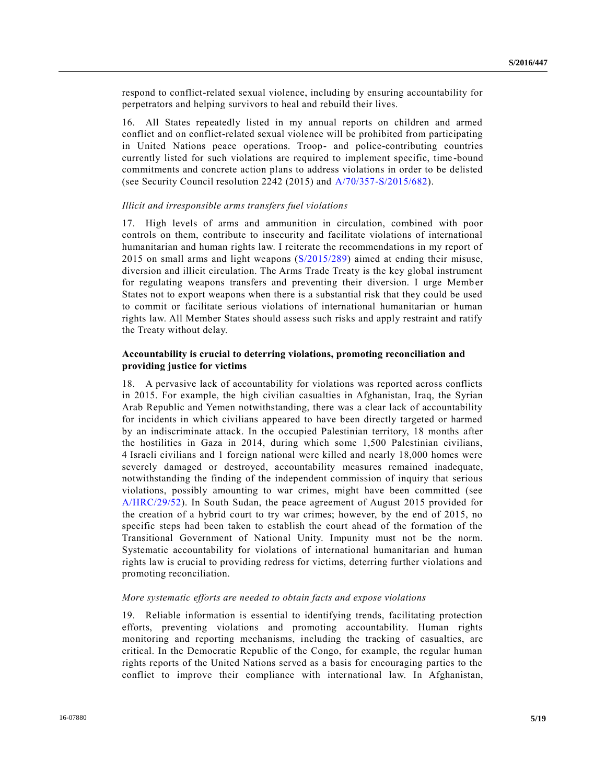respond to conflict-related sexual violence, including by ensuring accountability for perpetrators and helping survivors to heal and rebuild their lives.

16. All States repeatedly listed in my annual reports on children and armed conflict and on conflict-related sexual violence will be prohibited from participating in United Nations peace operations. Troop- and police-contributing countries currently listed for such violations are required to implement specific, time -bound commitments and concrete action plans to address violations in order to be delisted (see Security Council resolution 2242 (2015) and [A/70/357-S/2015/682\)](http://undocs.org/A/70/357-S/2015/682).

#### *Illicit and irresponsible arms transfers fuel violations*

17. High levels of arms and ammunition in circulation, combined with poor controls on them, contribute to insecurity and facilitate violations of international humanitarian and human rights law. I reiterate the recommendations in my report of 2015 on small arms and light weapons [\(S/2015/289\)](http://undocs.org/S/2015/289) aimed at ending their misuse, diversion and illicit circulation. The Arms Trade Treaty is the key global instrument for regulating weapons transfers and preventing their diversion. I urge Member States not to export weapons when there is a substantial risk that they could be used to commit or facilitate serious violations of international humanitarian or human rights law. All Member States should assess such risks and apply restraint and ratify the Treaty without delay.

## **Accountability is crucial to deterring violations, promoting reconciliation and providing justice for victims**

18. A pervasive lack of accountability for violations was reported across conflicts in 2015. For example, the high civilian casualties in Afghanistan, Iraq, the Syrian Arab Republic and Yemen notwithstanding, there was a clear lack of accountability for incidents in which civilians appeared to have been directly targeted or harmed by an indiscriminate attack. In the occupied Palestinian territory, 18 months after the hostilities in Gaza in 2014, during which some 1,500 Palestinian civilians, 4 Israeli civilians and 1 foreign national were killed and nearly 18,000 homes were severely damaged or destroyed, accountability measures remained inadequate, notwithstanding the finding of the independent commission of inquiry that serious violations, possibly amounting to war crimes, might have been committed (see [A/HRC/29/52\)](http://undocs.org/A/HRC/29/52). In South Sudan, the peace agreement of August 2015 provided for the creation of a hybrid court to try war crimes; however, by the end of 2015, no specific steps had been taken to establish the court ahead of the formation of the Transitional Government of National Unity. Impunity must not be the norm. Systematic accountability for violations of international humanitarian and human rights law is crucial to providing redress for victims, deterring further violations and promoting reconciliation.

#### *More systematic efforts are needed to obtain facts and expose violations*

19. Reliable information is essential to identifying trends, facilitating protection efforts, preventing violations and promoting accountability. Human rights monitoring and reporting mechanisms, including the tracking of casualties, are critical. In the Democratic Republic of the Congo, for example, the regular human rights reports of the United Nations served as a basis for encouraging parties to the conflict to improve their compliance with international law. In Afghanistan,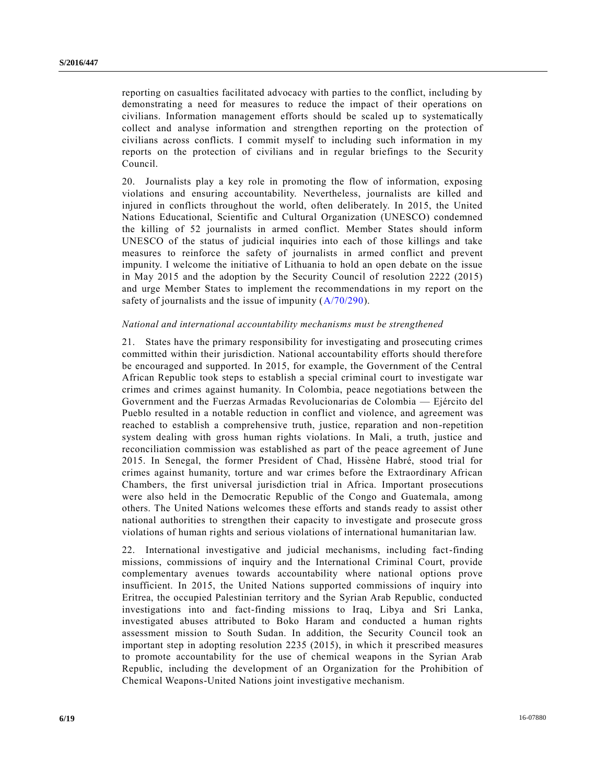reporting on casualties facilitated advocacy with parties to the conflict, including by demonstrating a need for measures to reduce the impact of their operations on civilians. Information management efforts should be scaled up to systematically collect and analyse information and strengthen reporting on the protection of civilians across conflicts. I commit myself to including such information in my reports on the protection of civilians and in regular briefings to the Security Council.

20. Journalists play a key role in promoting the flow of information, exposing violations and ensuring accountability. Nevertheless, journalists are killed and injured in conflicts throughout the world, often deliberately. In 2015, the United Nations Educational, Scientific and Cultural Organization (UNESCO) condemned the killing of 52 journalists in armed conflict. Member States should inform UNESCO of the status of judicial inquiries into each of those killings and take measures to reinforce the safety of journalists in armed conflict and prevent impunity. I welcome the initiative of Lithuania to hold an open debate on the issue in May 2015 and the adoption by the Security Council of resolution 2222 (2015) and urge Member States to implement the recommendations in my report on the safety of journalists and the issue of impunity ( $A/70/290$ ).

### *National and international accountability mechanisms must be strengthened*

21. States have the primary responsibility for investigating and prosecuting crimes committed within their jurisdiction. National accountability efforts should therefore be encouraged and supported. In 2015, for example, the Government of the Central African Republic took steps to establish a special criminal court to investigate war crimes and crimes against humanity. In Colombia, peace negotiations between the Government and the Fuerzas Armadas Revolucionarias de Colombia — Ejército del Pueblo resulted in a notable reduction in conflict and violence, and agreement was reached to establish a comprehensive truth, justice, reparation and non-repetition system dealing with gross human rights violations. In Mali, a truth, justice and reconciliation commission was established as part of the peace agreement of June 2015. In Senegal, the former President of Chad, Hissène Habré, stood trial for crimes against humanity, torture and war crimes before the Extraordinary African Chambers, the first universal jurisdiction trial in Africa. Important prosecutions were also held in the Democratic Republic of the Congo and Guatemala, among others. The United Nations welcomes these efforts and stands ready to assist other national authorities to strengthen their capacity to investigate and prosecute gross violations of human rights and serious violations of international humanitarian law.

22. International investigative and judicial mechanisms, including fact-finding missions, commissions of inquiry and the International Criminal Court, provide complementary avenues towards accountability where national options prove insufficient. In 2015, the United Nations supported commissions of inquiry into Eritrea, the occupied Palestinian territory and the Syrian Arab Republic, conducted investigations into and fact-finding missions to Iraq, Libya and Sri Lanka, investigated abuses attributed to Boko Haram and conducted a human rights assessment mission to South Sudan. In addition, the Security Council took an important step in adopting resolution 2235 (2015), in which it prescribed measures to promote accountability for the use of chemical weapons in the Syrian Arab Republic, including the development of an Organization for the Prohibition of Chemical Weapons-United Nations joint investigative mechanism.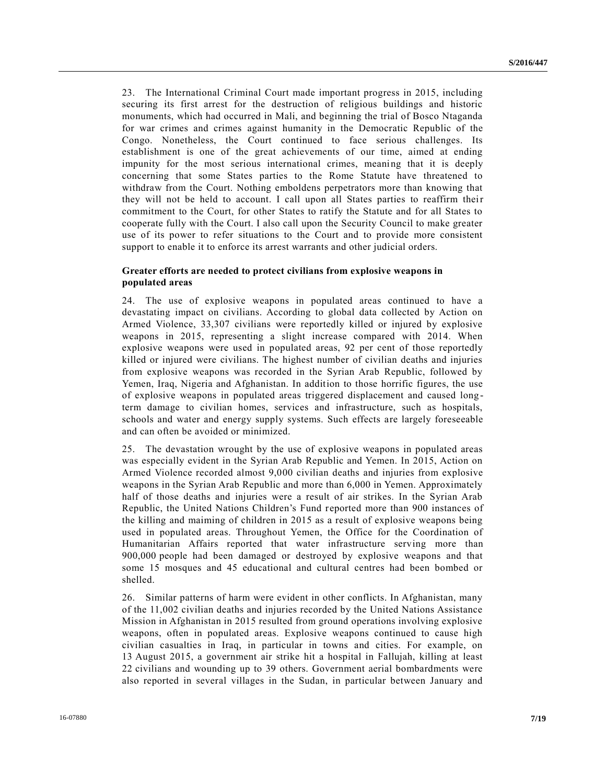23. The International Criminal Court made important progress in 2015, including securing its first arrest for the destruction of religious buildings and historic monuments, which had occurred in Mali, and beginning the trial of Bosco Ntaganda for war crimes and crimes against humanity in the Democratic Republic of the Congo. Nonetheless, the Court continued to face serious challenges. Its establishment is one of the great achievements of our time, aimed at ending impunity for the most serious international crimes, meaning that it is deeply concerning that some States parties to the Rome Statute have threatened to withdraw from the Court. Nothing emboldens perpetrators more than knowing that they will not be held to account. I call upon all States parties to reaffirm their commitment to the Court, for other States to ratify the Statute and for all States to cooperate fully with the Court. I also call upon the Security Council to make greater use of its power to refer situations to the Court and to provide more consistent support to enable it to enforce its arrest warrants and other judicial orders.

## **Greater efforts are needed to protect civilians from explosive weapons in populated areas**

24. The use of explosive weapons in populated areas continued to have a devastating impact on civilians. According to global data collected by Action on Armed Violence, 33,307 civilians were reportedly killed or injured by explosive weapons in 2015, representing a slight increase compared with 2014. When explosive weapons were used in populated areas, 92 per cent of those reportedly killed or injured were civilians. The highest number of civilian deaths and injuries from explosive weapons was recorded in the Syrian Arab Republic, followed by Yemen, Iraq, Nigeria and Afghanistan. In addition to those horrific figures, the use of explosive weapons in populated areas triggered displacement and caused long term damage to civilian homes, services and infrastructure, such as hospitals, schools and water and energy supply systems. Such effects are largely foreseeable and can often be avoided or minimized.

25. The devastation wrought by the use of explosive weapons in populated areas was especially evident in the Syrian Arab Republic and Yemen. In 2015, Action on Armed Violence recorded almost 9,000 civilian deaths and injuries from explosive weapons in the Syrian Arab Republic and more than 6,000 in Yemen. Approximately half of those deaths and injuries were a result of air strikes. In the Syrian Arab Republic, the United Nations Children's Fund reported more than 900 instances of the killing and maiming of children in 2015 as a result of explosive weapons being used in populated areas. Throughout Yemen, the Office for the Coordination of Humanitarian Affairs reported that water infrastructure serving more than 900,000 people had been damaged or destroyed by explosive weapons and that some 15 mosques and 45 educational and cultural centres had been bombed or shelled.

26. Similar patterns of harm were evident in other conflicts. In Afghanistan, many of the 11,002 civilian deaths and injuries recorded by the United Nations Assistance Mission in Afghanistan in 2015 resulted from ground operations involving explosive weapons, often in populated areas. Explosive weapons continued to cause high civilian casualties in Iraq, in particular in towns and cities. For example, on 13 August 2015, a government air strike hit a hospital in Fallujah, killing at least 22 civilians and wounding up to 39 others. Government aerial bombardments were also reported in several villages in the Sudan, in particular between January and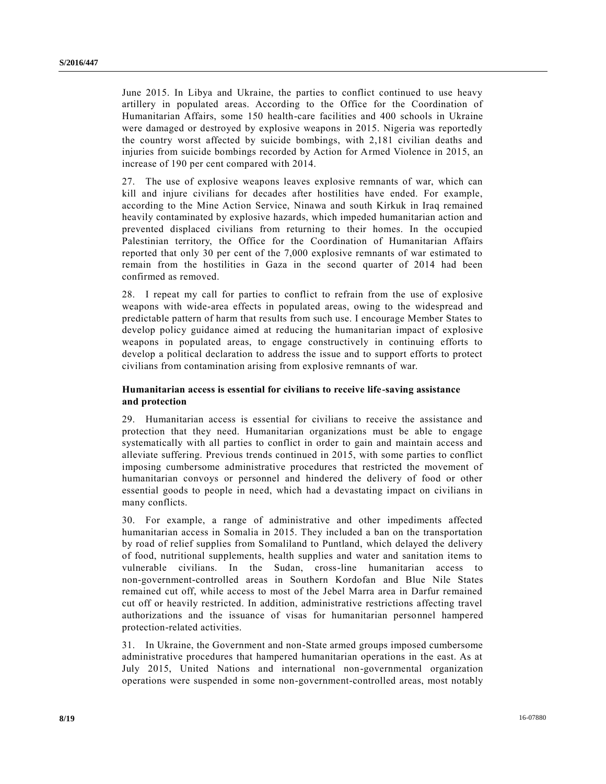June 2015. In Libya and Ukraine, the parties to conflict continued to use heavy artillery in populated areas. According to the Office for the Coordination of Humanitarian Affairs, some 150 health-care facilities and 400 schools in Ukraine were damaged or destroyed by explosive weapons in 2015. Nigeria was reportedly the country worst affected by suicide bombings, with 2,181 civilian deaths and injuries from suicide bombings recorded by Action for Armed Violence in 2015, an increase of 190 per cent compared with 2014.

27. The use of explosive weapons leaves explosive remnants of war, which can kill and injure civilians for decades after hostilities have ended. For example, according to the Mine Action Service, Ninawa and south Kirkuk in Iraq remained heavily contaminated by explosive hazards, which impeded humanitarian action and prevented displaced civilians from returning to their homes. In the occupied Palestinian territory, the Office for the Coordination of Humanitarian Affairs reported that only 30 per cent of the 7,000 explosive remnants of war estimated to remain from the hostilities in Gaza in the second quarter of 2014 had been confirmed as removed.

28. I repeat my call for parties to conflict to refrain from the use of explosive weapons with wide-area effects in populated areas, owing to the widespread and predictable pattern of harm that results from such use. I encourage Member States to develop policy guidance aimed at reducing the humanitarian impact of explosive weapons in populated areas, to engage constructively in continuing efforts to develop a political declaration to address the issue and to support efforts to protect civilians from contamination arising from explosive remnants of war.

## **Humanitarian access is essential for civilians to receive life-saving assistance and protection**

29. Humanitarian access is essential for civilians to receive the assistance and protection that they need. Humanitarian organizations must be able to engage systematically with all parties to conflict in order to gain and maintain access and alleviate suffering. Previous trends continued in 2015, with some parties to conflict imposing cumbersome administrative procedures that restricted the movement of humanitarian convoys or personnel and hindered the delivery of food or other essential goods to people in need, which had a devastating impact on civilians in many conflicts.

30. For example, a range of administrative and other impediments affected humanitarian access in Somalia in 2015. They included a ban on the transportation by road of relief supplies from Somaliland to Puntland, which delayed the delivery of food, nutritional supplements, health supplies and water and sanitation items to vulnerable civilians. In the Sudan, cross-line humanitarian access to non-government-controlled areas in Southern Kordofan and Blue Nile States remained cut off, while access to most of the Jebel Marra area in Darfur remained cut off or heavily restricted. In addition, administrative restrictions affecting travel authorizations and the issuance of visas for humanitarian personnel hampered protection-related activities.

31. In Ukraine, the Government and non-State armed groups imposed cumbersome administrative procedures that hampered humanitarian operations in the east. As at July 2015, United Nations and international non-governmental organization operations were suspended in some non-government-controlled areas, most notably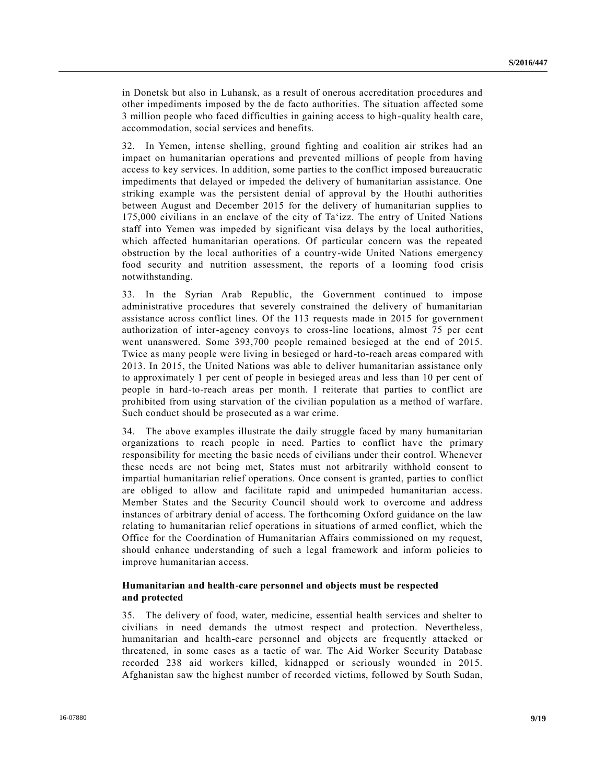in Donetsk but also in Luhansk, as a result of onerous accreditation procedures and other impediments imposed by the de facto authorities. The situation affected some 3 million people who faced difficulties in gaining access to high-quality health care, accommodation, social services and benefits.

32. In Yemen, intense shelling, ground fighting and coalition air strikes had an impact on humanitarian operations and prevented millions of people from having access to key services. In addition, some parties to the conflict imposed bureaucratic impediments that delayed or impeded the delivery of humanitarian assistance. One striking example was the persistent denial of approval by the Houthi authorities between August and December 2015 for the delivery of humanitarian supplies to 175,000 civilians in an enclave of the city of Ta'izz. The entry of United Nations staff into Yemen was impeded by significant visa delays by the local authorities, which affected humanitarian operations. Of particular concern was the repeated obstruction by the local authorities of a country-wide United Nations emergency food security and nutrition assessment, the reports of a looming food crisis notwithstanding.

33. In the Syrian Arab Republic, the Government continued to impose administrative procedures that severely constrained the delivery of humanitarian assistance across conflict lines. Of the 113 requests made in 2015 for governmen t authorization of inter-agency convoys to cross-line locations, almost 75 per cent went unanswered. Some 393,700 people remained besieged at the end of 2015. Twice as many people were living in besieged or hard-to-reach areas compared with 2013. In 2015, the United Nations was able to deliver humanitarian assistance only to approximately 1 per cent of people in besieged areas and less than 10 per cent of people in hard-to-reach areas per month. I reiterate that parties to conflict are prohibited from using starvation of the civilian population as a method of warfare. Such conduct should be prosecuted as a war crime.

34. The above examples illustrate the daily struggle faced by many humanitarian organizations to reach people in need. Parties to conflict have the primary responsibility for meeting the basic needs of civilians under their control. Whenever these needs are not being met, States must not arbitrarily withhold consent to impartial humanitarian relief operations. Once consent is granted, parties to conflict are obliged to allow and facilitate rapid and unimpeded humanitarian access. Member States and the Security Council should work to overcome and address instances of arbitrary denial of access. The forthcoming Oxford guidance on the law relating to humanitarian relief operations in situations of armed conflict, which the Office for the Coordination of Humanitarian Affairs commissioned on my request, should enhance understanding of such a legal framework and inform policies to improve humanitarian access.

## **Humanitarian and health-care personnel and objects must be respected and protected**

35. The delivery of food, water, medicine, essential health services and shelter to civilians in need demands the utmost respect and protection. Nevertheless, humanitarian and health-care personnel and objects are frequently attacked or threatened, in some cases as a tactic of war. The Aid Worker Security Database recorded 238 aid workers killed, kidnapped or seriously wounded in 2015. Afghanistan saw the highest number of recorded victims, followed by South Sudan,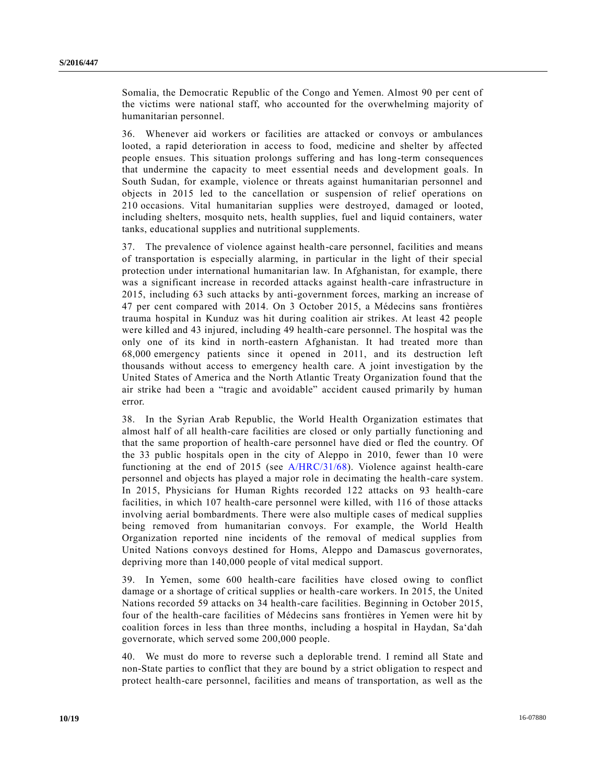Somalia, the Democratic Republic of the Congo and Yemen. Almost 90 per cent of the victims were national staff, who accounted for the overwhelming majority of humanitarian personnel.

36. Whenever aid workers or facilities are attacked or convoys or ambulances looted, a rapid deterioration in access to food, medicine and shelter by affected people ensues. This situation prolongs suffering and has long-term consequences that undermine the capacity to meet essential needs and development goals. In South Sudan, for example, violence or threats against humanitarian personnel and objects in 2015 led to the cancellation or suspension of relief operations on 210 occasions. Vital humanitarian supplies were destroyed, damaged or looted, including shelters, mosquito nets, health supplies, fuel and liquid containers, water tanks, educational supplies and nutritional supplements.

37. The prevalence of violence against health-care personnel, facilities and means of transportation is especially alarming, in particular in the light of their special protection under international humanitarian law. In Afghanistan, for example, there was a significant increase in recorded attacks against health-care infrastructure in 2015, including 63 such attacks by anti-government forces, marking an increase of 47 per cent compared with 2014. On 3 October 2015, a Médecins sans frontières trauma hospital in Kunduz was hit during coalition air strikes. At least 42 people were killed and 43 injured, including 49 health-care personnel. The hospital was the only one of its kind in north-eastern Afghanistan. It had treated more than 68,000 emergency patients since it opened in 2011, and its destruction left thousands without access to emergency health care. A joint investigation by the United States of America and the North Atlantic Treaty Organization found that the air strike had been a "tragic and avoidable" accident caused primarily by human error.

38. In the Syrian Arab Republic, the World Health Organization estimates that almost half of all health-care facilities are closed or only partially functioning and that the same proportion of health-care personnel have died or fled the country. Of the 33 public hospitals open in the city of Aleppo in 2010, fewer than 10 were functioning at the end of 2015 (see [A/HRC/31/68\)](http://undocs.org/A/HRC/31/68). Violence against health-care personnel and objects has played a major role in decimating the health-care system. In 2015, Physicians for Human Rights recorded 122 attacks on 93 health-care facilities, in which 107 health-care personnel were killed, with 116 of those attacks involving aerial bombardments. There were also multiple cases of medical supplies being removed from humanitarian convoys. For example, the World Health Organization reported nine incidents of the removal of medical supplies from United Nations convoys destined for Homs, Aleppo and Damascus governorates, depriving more than 140,000 people of vital medical support.

39. In Yemen, some 600 health-care facilities have closed owing to conflict damage or a shortage of critical supplies or health-care workers. In 2015, the United Nations recorded 59 attacks on 34 health-care facilities. Beginning in October 2015, four of the health-care facilities of Médecins sans frontières in Yemen were hit by coalition forces in less than three months, including a hospital in Haydan, Sa'dah governorate, which served some 200,000 people.

40. We must do more to reverse such a deplorable trend. I remind all State and non-State parties to conflict that they are bound by a strict obligation to respect and protect health-care personnel, facilities and means of transportation, as well as the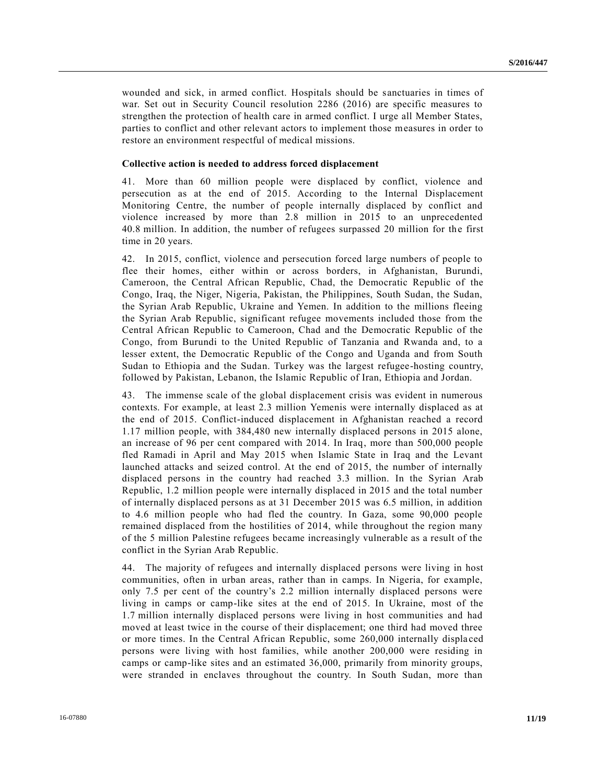wounded and sick, in armed conflict. Hospitals should be sanctuaries in times of war. Set out in Security Council resolution 2286 (2016) are specific measures to strengthen the protection of health care in armed conflict. I urge all Member States, parties to conflict and other relevant actors to implement those measures in order to restore an environment respectful of medical missions.

#### **Collective action is needed to address forced displacement**

41. More than 60 million people were displaced by conflict, violence and persecution as at the end of 2015. According to the Internal Displacement Monitoring Centre, the number of people internally displaced by conflict and violence increased by more than 2.8 million in 2015 to an unprecedented 40.8 million. In addition, the number of refugees surpassed 20 million for the first time in 20 years.

42. In 2015, conflict, violence and persecution forced large numbers of people to flee their homes, either within or across borders, in Afghanistan, Burundi, Cameroon, the Central African Republic, Chad, the Democratic Republic of the Congo, Iraq, the Niger, Nigeria, Pakistan, the Philippines, South Sudan, the Sudan, the Syrian Arab Republic, Ukraine and Yemen. In addition to the millions fleeing the Syrian Arab Republic, significant refugee movements included those from the Central African Republic to Cameroon, Chad and the Democratic Republic of the Congo, from Burundi to the United Republic of Tanzania and Rwanda and, to a lesser extent, the Democratic Republic of the Congo and Uganda and from South Sudan to Ethiopia and the Sudan. Turkey was the largest refugee-hosting country, followed by Pakistan, Lebanon, the Islamic Republic of Iran, Ethiopia and Jordan.

43. The immense scale of the global displacement crisis was evident in numerous contexts. For example, at least 2.3 million Yemenis were internally displaced as at the end of 2015. Conflict-induced displacement in Afghanistan reached a record 1.17 million people, with 384,480 new internally displaced persons in 2015 alone, an increase of 96 per cent compared with 2014. In Iraq, more than 500,000 people fled Ramadi in April and May 2015 when Islamic State in Iraq and the Levant launched attacks and seized control. At the end of 2015, the number of internally displaced persons in the country had reached 3.3 million. In the Syrian Arab Republic, 1.2 million people were internally displaced in 2015 and the total number of internally displaced persons as at 31 December 2015 was 6.5 million, in addition to 4.6 million people who had fled the country. In Gaza, some 90,000 people remained displaced from the hostilities of 2014, while throughout the region many of the 5 million Palestine refugees became increasingly vulnerable as a result of the conflict in the Syrian Arab Republic.

44. The majority of refugees and internally displaced persons were living in host communities, often in urban areas, rather than in camps. In Nigeria, for example, only 7.5 per cent of the country's 2.2 million internally displaced persons were living in camps or camp-like sites at the end of 2015. In Ukraine, most of the 1.7 million internally displaced persons were living in host communities and had moved at least twice in the course of their displacement; one third had moved three or more times. In the Central African Republic, some 260,000 internally displa ced persons were living with host families, while another 200,000 were residing in camps or camp-like sites and an estimated 36,000, primarily from minority groups, were stranded in enclaves throughout the country. In South Sudan, more than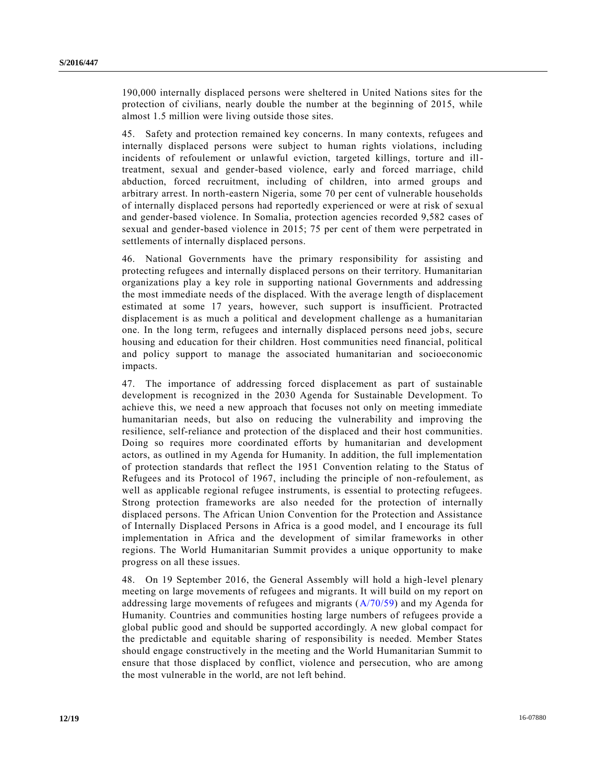190,000 internally displaced persons were sheltered in United Nations sites for the protection of civilians, nearly double the number at the beginning of 2015, while almost 1.5 million were living outside those sites.

45. Safety and protection remained key concerns. In many contexts, refugees and internally displaced persons were subject to human rights violations, including incidents of refoulement or unlawful eviction, targeted killings, torture and illtreatment, sexual and gender-based violence, early and forced marriage, child abduction, forced recruitment, including of children, into armed groups and arbitrary arrest. In north-eastern Nigeria, some 70 per cent of vulnerable households of internally displaced persons had reportedly experienced or were at risk of sexu al and gender-based violence. In Somalia, protection agencies recorded 9,582 cases of sexual and gender-based violence in 2015; 75 per cent of them were perpetrated in settlements of internally displaced persons.

46. National Governments have the primary responsibility for assisting and protecting refugees and internally displaced persons on their territory. Humanitarian organizations play a key role in supporting national Governments and addressing the most immediate needs of the displaced. With the average length of displacement estimated at some 17 years, however, such support is insufficient. Protracted displacement is as much a political and development challenge as a humanitarian one. In the long term, refugees and internally displaced persons need jobs, secure housing and education for their children. Host communities need financial, political and policy support to manage the associated humanitarian and socioeconomic impacts.

47. The importance of addressing forced displacement as part of sustainable development is recognized in the 2030 Agenda for Sustainable Development. To achieve this, we need a new approach that focuses not only on meeting immediate humanitarian needs, but also on reducing the vulnerability and improving the resilience, self-reliance and protection of the displaced and their host communities. Doing so requires more coordinated efforts by humanitarian and development actors, as outlined in my Agenda for Humanity. In addition, the full implementation of protection standards that reflect the 1951 Convention relating to the Status of Refugees and its Protocol of 1967, including the principle of non-refoulement, as well as applicable regional refugee instruments, is essential to protecting refugees. Strong protection frameworks are also needed for the protection of internally displaced persons. The African Union Convention for the Protection and Assistance of Internally Displaced Persons in Africa is a good model, and I encourage its full implementation in Africa and the development of similar frameworks in other regions. The World Humanitarian Summit provides a unique opportunity to make progress on all these issues.

48. On 19 September 2016, the General Assembly will hold a high-level plenary meeting on large movements of refugees and migrants. It will build on my report on addressing large movements of refugees and migrants [\(A/70/59\)](http://undocs.org/A/70/59) and my Agenda for Humanity. Countries and communities hosting large numbers of refugees provide a global public good and should be supported accordingly. A new global compact for the predictable and equitable sharing of responsibility is needed. Member States should engage constructively in the meeting and the World Humanitarian Summit to ensure that those displaced by conflict, violence and persecution, who are among the most vulnerable in the world, are not left behind.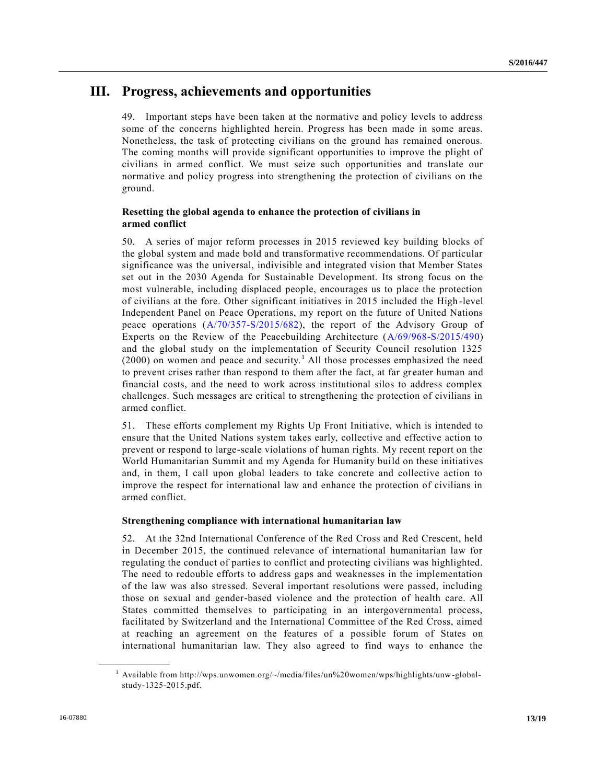## **III. Progress, achievements and opportunities**

49. Important steps have been taken at the normative and policy levels to address some of the concerns highlighted herein. Progress has been made in some areas. Nonetheless, the task of protecting civilians on the ground has remained onerous. The coming months will provide significant opportunities to improve the plight of civilians in armed conflict. We must seize such opportunities and translate our normative and policy progress into strengthening the protection of civilians on the ground.

## **Resetting the global agenda to enhance the protection of civilians in armed conflict**

50. A series of major reform processes in 2015 reviewed key building blocks of the global system and made bold and transformative recommendations. Of particular significance was the universal, indivisible and integrated vision that Member States set out in the 2030 Agenda for Sustainable Development. Its strong focus on the most vulnerable, including displaced people, encourages us to place the protection of civilians at the fore. Other significant initiatives in 2015 included the High -level Independent Panel on Peace Operations, my report on the future of United Nations peace operations [\(A/70/357-S/2015/682\)](http://undocs.org/A/70/357), the report of the Advisory Group of Experts on the Review of the Peacebuilding Architecture [\(A/69/968-S/2015/490\)](http://undocs.org/A/69/968) and the global study on the implementation of Security Council resolution 1325  $(2000)$  on women and peace and security.<sup>1</sup> All those processes emphasized the need to prevent crises rather than respond to them after the fact, at far greater human and financial costs, and the need to work across institutional silos to address complex challenges. Such messages are critical to strengthening the protection of civilians in armed conflict.

51. These efforts complement my Rights Up Front Initiative, which is intended to ensure that the United Nations system takes early, collective and effective action to prevent or respond to large-scale violations of human rights. My recent report on the World Humanitarian Summit and my Agenda for Humanity build on these initiatives and, in them, I call upon global leaders to take concrete and collective action to improve the respect for international law and enhance the protection of civilians in armed conflict.

## **Strengthening compliance with international humanitarian law**

52. At the 32nd International Conference of the Red Cross and Red Crescent, held in December 2015, the continued relevance of international humanitarian law for regulating the conduct of parties to conflict and protecting civilians was highlighted. The need to redouble efforts to address gaps and weaknesses in the implementation of the law was also stressed. Several important resolutions were passed, including those on sexual and gender-based violence and the protection of health care. All States committed themselves to participating in an intergovernmental process, facilitated by Switzerland and the International Committee of the Red Cross, aimed at reaching an agreement on the features of a possible forum of States on international humanitarian law. They also agreed to find ways to enhance the

**\_\_\_\_\_\_\_\_\_\_\_\_\_\_\_\_\_\_**

 $1$  Available from http://wps.unwomen.org/~/media/files/un%20women/wps/highlights/unw-globalstudy-1325-2015.pdf.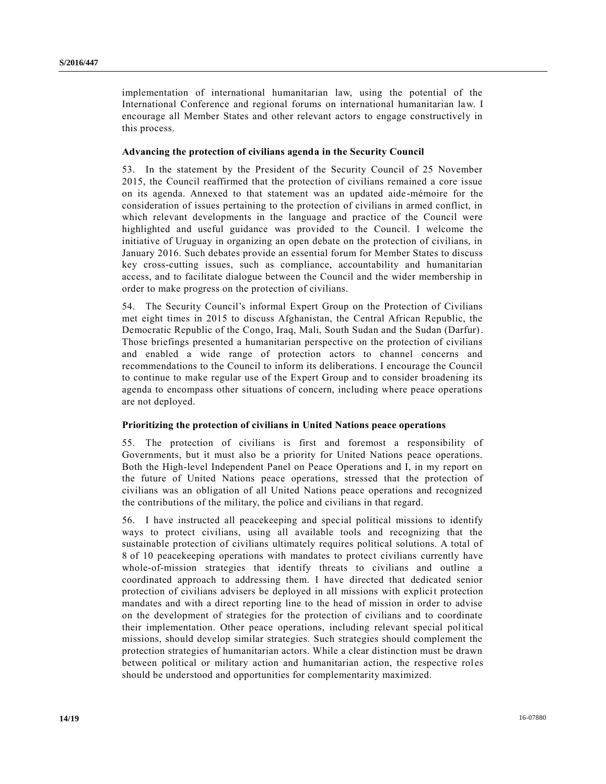implementation of international humanitarian law, using the potential of the International Conference and regional forums on international humanitarian law. I encourage all Member States and other relevant actors to engage constructively in this process.

### **Advancing the protection of civilians agenda in the Security Council**

53. In the statement by the President of the Security Council of 25 November 2015, the Council reaffirmed that the protection of civilians remained a core issue on its agenda. Annexed to that statement was an updated aide-mémoire for the consideration of issues pertaining to the protection of civilians in armed conflict, in which relevant developments in the language and practice of the Council were highlighted and useful guidance was provided to the Council. I welcome the initiative of Uruguay in organizing an open debate on the protection of civilians, in January 2016. Such debates provide an essential forum for Member States to discuss key cross-cutting issues, such as compliance, accountability and humanitarian access, and to facilitate dialogue between the Council and the wider membership in order to make progress on the protection of civilians.

54. The Security Council's informal Expert Group on the Protection of Civilians met eight times in 2015 to discuss Afghanistan, the Central African Republic, the Democratic Republic of the Congo, Iraq, Mali, South Sudan and the Sudan (Darfur). Those briefings presented a humanitarian perspective on the protection of civilians and enabled a wide range of protection actors to channel concerns and recommendations to the Council to inform its deliberations. I encourage the Council to continue to make regular use of the Expert Group and to consider broadening its agenda to encompass other situations of concern, including where peace operations are not deployed.

#### **Prioritizing the protection of civilians in United Nations peace operations**

55. The protection of civilians is first and foremost a responsibility of Governments, but it must also be a priority for United Nations peace operations. Both the High-level Independent Panel on Peace Operations and I, in my report on the future of United Nations peace operations, stressed that the protection of civilians was an obligation of all United Nations peace operations and recognized the contributions of the military, the police and civilians in that regard.

56. I have instructed all peacekeeping and special political missions to identify ways to protect civilians, using all available tools and recognizing that the sustainable protection of civilians ultimately requires political solutions. A total of 8 of 10 peacekeeping operations with mandates to protect civilians currently have whole-of-mission strategies that identify threats to civilians and outline a coordinated approach to addressing them. I have directed that dedicated senior protection of civilians advisers be deployed in all missions with explicit protection mandates and with a direct reporting line to the head of mission in order to advise on the development of strategies for the protection of civilians and to coordinate their implementation. Other peace operations, including relevant special political missions, should develop similar strategies. Such strategies should complement the protection strategies of humanitarian actors. While a clear distinction must be drawn between political or military action and humanitarian action, the respective roles should be understood and opportunities for complementarity maximized.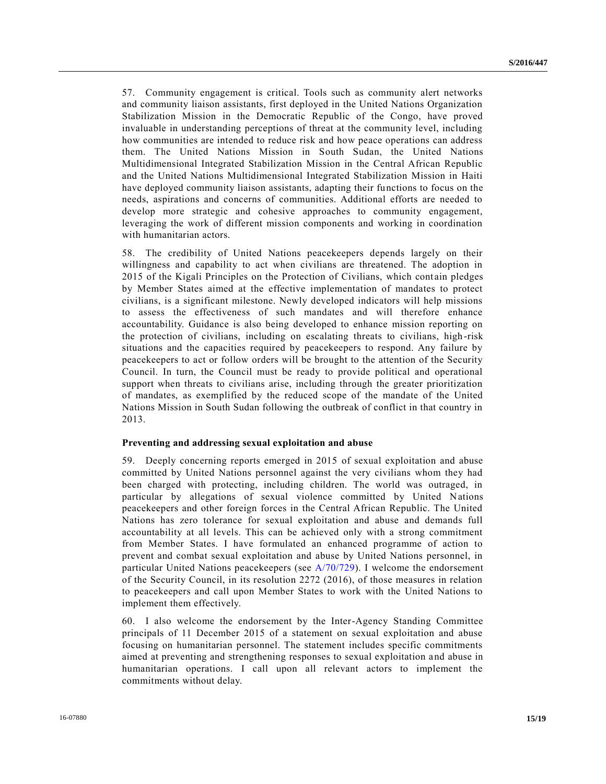57. Community engagement is critical. Tools such as community alert networks and community liaison assistants, first deployed in the United Nations Organization Stabilization Mission in the Democratic Republic of the Congo, have proved invaluable in understanding perceptions of threat at the community level, including how communities are intended to reduce risk and how peace operations can address them. The United Nations Mission in South Sudan, the United Nations Multidimensional Integrated Stabilization Mission in the Central African Republic and the United Nations Multidimensional Integrated Stabilization Mission in Haiti have deployed community liaison assistants, adapting their functions to focus on the needs, aspirations and concerns of communities. Additional efforts are needed to develop more strategic and cohesive approaches to community engagement, leveraging the work of different mission components and working in coordination with humanitarian actors.

58. The credibility of United Nations peacekeepers depends largely on their willingness and capability to act when civilians are threatened. The adoption in 2015 of the Kigali Principles on the Protection of Civilians, which contain pledges by Member States aimed at the effective implementation of mandates to protect civilians, is a significant milestone. Newly developed indicators will help missions to assess the effectiveness of such mandates and will therefore enhance accountability. Guidance is also being developed to enhance mission reporting on the protection of civilians, including on escalating threats to civilians, high -risk situations and the capacities required by peacekeepers to respond. Any failure by peacekeepers to act or follow orders will be brought to the attention of the Security Council. In turn, the Council must be ready to provide political and operational support when threats to civilians arise, including through the greater prioritization of mandates, as exemplified by the reduced scope of the mandate of the United Nations Mission in South Sudan following the outbreak of conflict in that country in 2013.

#### **Preventing and addressing sexual exploitation and abuse**

59. Deeply concerning reports emerged in 2015 of sexual exploitation and abuse committed by United Nations personnel against the very civilians whom they had been charged with protecting, including children. The world was outraged, in particular by allegations of sexual violence committed by United Nations peacekeepers and other foreign forces in the Central African Republic. The United Nations has zero tolerance for sexual exploitation and abuse and demands full accountability at all levels. This can be achieved only with a strong commitment from Member States. I have formulated an enhanced programme of action to prevent and combat sexual exploitation and abuse by United Nations personnel, in particular United Nations peacekeepers (see [A/70/729\)](http://undocs.org/A/70/729). I welcome the endorsement of the Security Council, in its resolution 2272 (2016), of those measures in relation to peacekeepers and call upon Member States to work with the United Nations to implement them effectively.

60. I also welcome the endorsement by the Inter-Agency Standing Committee principals of 11 December 2015 of a statement on sexual exploitation and abuse focusing on humanitarian personnel. The statement includes specific commitments aimed at preventing and strengthening responses to sexual exploitation and abuse in humanitarian operations. I call upon all relevant actors to implement the commitments without delay.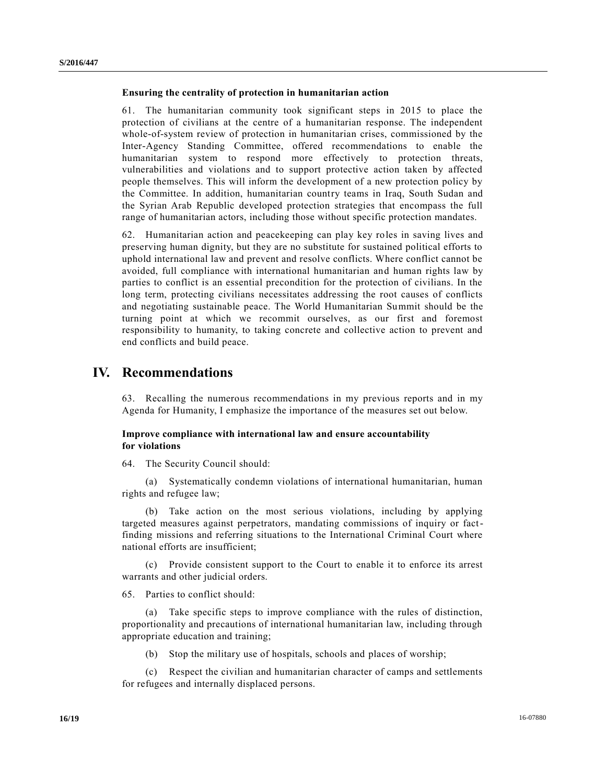### **Ensuring the centrality of protection in humanitarian action**

61. The humanitarian community took significant steps in 2015 to place the protection of civilians at the centre of a humanitarian response. The independent whole-of-system review of protection in humanitarian crises, commissioned by the Inter-Agency Standing Committee, offered recommendations to enable the humanitarian system to respond more effectively to protection threats, vulnerabilities and violations and to support protective action taken by affected people themselves. This will inform the development of a new protection policy by the Committee. In addition, humanitarian country teams in Iraq, South Sudan and the Syrian Arab Republic developed protection strategies that encompass the full range of humanitarian actors, including those without specific protection mandates.

62. Humanitarian action and peacekeeping can play key roles in saving lives and preserving human dignity, but they are no substitute for sustained political efforts to uphold international law and prevent and resolve conflicts. Where conflict cannot be avoided, full compliance with international humanitarian and human rights law by parties to conflict is an essential precondition for the protection of civilians. In the long term, protecting civilians necessitates addressing the root causes of conflicts and negotiating sustainable peace. The World Humanitarian Summit should be the turning point at which we recommit ourselves, as our first and foremost responsibility to humanity, to taking concrete and collective action to prevent and end conflicts and build peace.

## **IV. Recommendations**

63. Recalling the numerous recommendations in my previous reports and in my Agenda for Humanity, I emphasize the importance of the measures set out below.

## **Improve compliance with international law and ensure accountability for violations**

64. The Security Council should:

(a) Systematically condemn violations of international humanitarian, human rights and refugee law;

(b) Take action on the most serious violations, including by applying targeted measures against perpetrators, mandating commissions of inquiry or factfinding missions and referring situations to the International Criminal Court where national efforts are insufficient;

(c) Provide consistent support to the Court to enable it to enforce its arrest warrants and other judicial orders.

65. Parties to conflict should:

(a) Take specific steps to improve compliance with the rules of distinction, proportionality and precautions of international humanitarian law, including through appropriate education and training;

(b) Stop the military use of hospitals, schools and places of worship;

(c) Respect the civilian and humanitarian character of camps and settlements for refugees and internally displaced persons.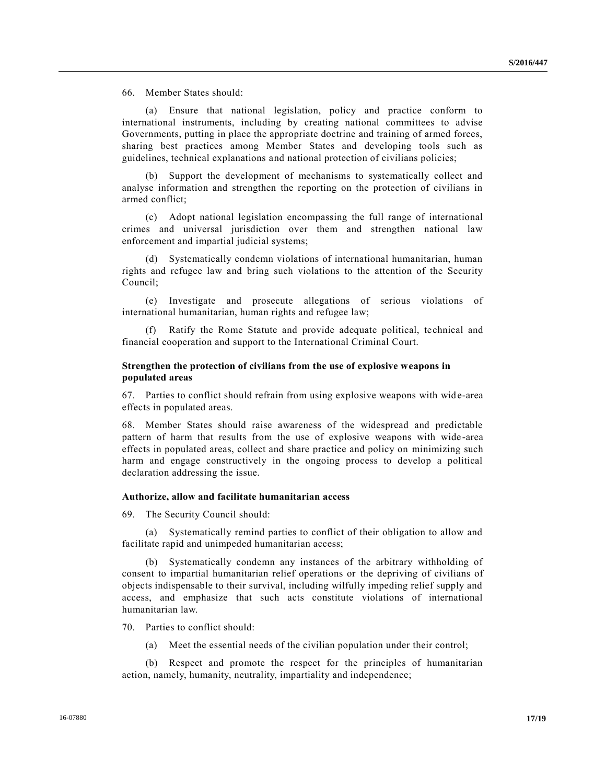66. Member States should:

(a) Ensure that national legislation, policy and practice conform to international instruments, including by creating national committees to advise Governments, putting in place the appropriate doctrine and training of armed forces, sharing best practices among Member States and developing tools such as guidelines, technical explanations and national protection of civilians policies;

(b) Support the development of mechanisms to systematically collect and analyse information and strengthen the reporting on the protection of civilians in armed conflict;

(c) Adopt national legislation encompassing the full range of international crimes and universal jurisdiction over them and strengthen national law enforcement and impartial judicial systems;

(d) Systematically condemn violations of international humanitarian, human rights and refugee law and bring such violations to the attention of the Security Council;

(e) Investigate and prosecute allegations of serious violations of international humanitarian, human rights and refugee law;

Ratify the Rome Statute and provide adequate political, technical and financial cooperation and support to the International Criminal Court.

## **Strengthen the protection of civilians from the use of explosive weapons in populated areas**

67. Parties to conflict should refrain from using explosive weapons with wide-area effects in populated areas.

68. Member States should raise awareness of the widespread and predictable pattern of harm that results from the use of explosive weapons with wide -area effects in populated areas, collect and share practice and policy on minimizing such harm and engage constructively in the ongoing process to develop a political declaration addressing the issue.

#### **Authorize, allow and facilitate humanitarian access**

69. The Security Council should:

(a) Systematically remind parties to conflict of their obligation to allow and facilitate rapid and unimpeded humanitarian access;

(b) Systematically condemn any instances of the arbitrary withholding of consent to impartial humanitarian relief operations or the depriving of civilians of objects indispensable to their survival, including wilfully impeding relief supply and access, and emphasize that such acts constitute violations of international humanitarian law.

70. Parties to conflict should:

(a) Meet the essential needs of the civilian population under their control;

(b) Respect and promote the respect for the principles of humanitarian action, namely, humanity, neutrality, impartiality and independence;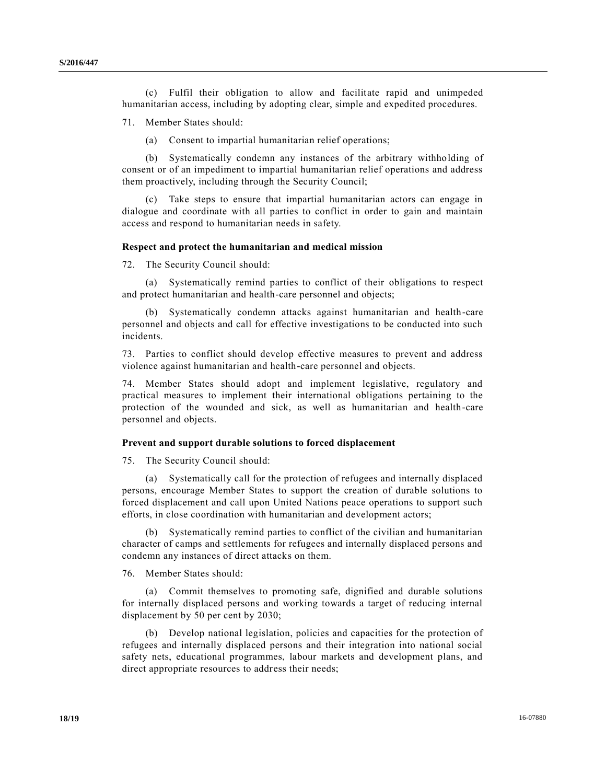(c) Fulfil their obligation to allow and facilitate rapid and unimpeded humanitarian access, including by adopting clear, simple and expedited procedures.

71. Member States should:

(a) Consent to impartial humanitarian relief operations;

(b) Systematically condemn any instances of the arbitrary withholding of consent or of an impediment to impartial humanitarian relief operations and address them proactively, including through the Security Council;

(c) Take steps to ensure that impartial humanitarian actors can engage in dialogue and coordinate with all parties to conflict in order to gain and maintain access and respond to humanitarian needs in safety.

#### **Respect and protect the humanitarian and medical mission**

72. The Security Council should:

(a) Systematically remind parties to conflict of their obligations to respect and protect humanitarian and health-care personnel and objects;

(b) Systematically condemn attacks against humanitarian and health-care personnel and objects and call for effective investigations to be conducted into such incidents.

73. Parties to conflict should develop effective measures to prevent and address violence against humanitarian and health-care personnel and objects.

74. Member States should adopt and implement legislative, regulatory and practical measures to implement their international obligations pertaining to the protection of the wounded and sick, as well as humanitarian and health-care personnel and objects.

#### **Prevent and support durable solutions to forced displacement**

75. The Security Council should:

(a) Systematically call for the protection of refugees and internally displaced persons, encourage Member States to support the creation of durable solutions to forced displacement and call upon United Nations peace operations to support such efforts, in close coordination with humanitarian and development actors;

(b) Systematically remind parties to conflict of the civilian and humanitarian character of camps and settlements for refugees and internally displaced persons and condemn any instances of direct attacks on them.

76. Member States should:

(a) Commit themselves to promoting safe, dignified and durable solutions for internally displaced persons and working towards a target of reducing internal displacement by 50 per cent by 2030;

(b) Develop national legislation, policies and capacities for the protection of refugees and internally displaced persons and their integration into national social safety nets, educational programmes, labour markets and development plans, and direct appropriate resources to address their needs;